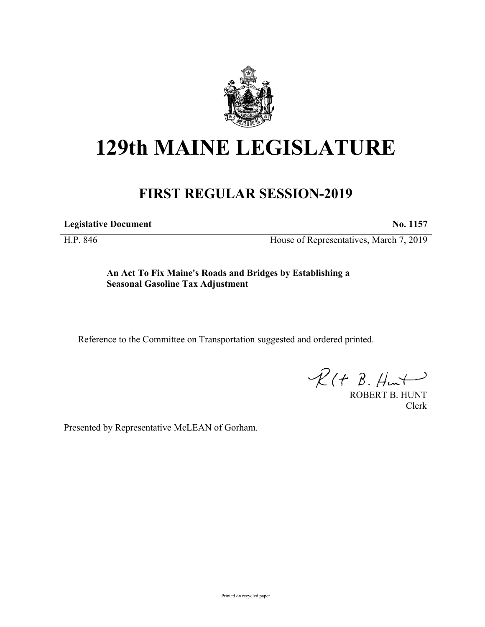

## **129th MAINE LEGISLATURE**

## **FIRST REGULAR SESSION-2019**

**Legislative Document No. 1157**

H.P. 846 House of Representatives, March 7, 2019

**An Act To Fix Maine's Roads and Bridges by Establishing a Seasonal Gasoline Tax Adjustment**

Reference to the Committee on Transportation suggested and ordered printed.

 $R(t B. Hmt)$ 

ROBERT B. HUNT Clerk

Presented by Representative McLEAN of Gorham.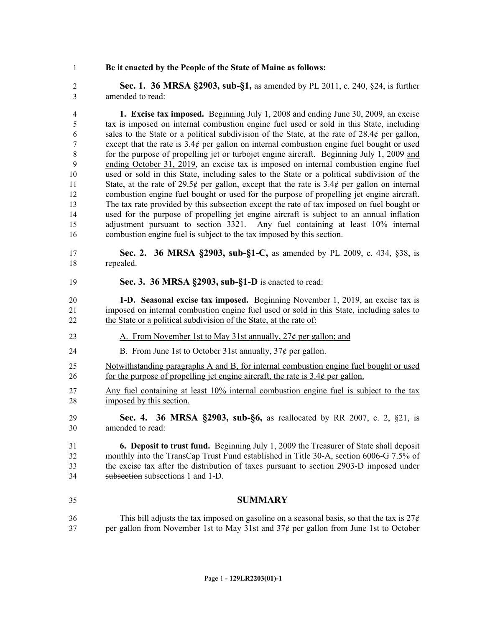## **Be it enacted by the People of the State of Maine as follows:**

 **Sec. 1. 36 MRSA §2903, sub-§1,** as amended by PL 2011, c. 240, §24, is further amended to read:

 **1. Excise tax imposed.** Beginning July 1, 2008 and ending June 30, 2009, an excise tax is imposed on internal combustion engine fuel used or sold in this State, including 6 sales to the State or a political subdivision of the State, at the rate of  $28.4¢$  per gallon, except that the rate is 3.4¢ per gallon on internal combustion engine fuel bought or used for the purpose of propelling jet or turbojet engine aircraft. Beginning July 1, 2009 and ending October 31, 2019, an excise tax is imposed on internal combustion engine fuel used or sold in this State, including sales to the State or a political subdivision of the 11 State, at the rate of 29.5 $\ell$  per gallon, except that the rate is 3.4 $\ell$  per gallon on internal combustion engine fuel bought or used for the purpose of propelling jet engine aircraft. The tax rate provided by this subsection except the rate of tax imposed on fuel bought or used for the purpose of propelling jet engine aircraft is subject to an annual inflation adjustment pursuant to section 3321. Any fuel containing at least 10% internal combustion engine fuel is subject to the tax imposed by this section.

 **Sec. 2. 36 MRSA §2903, sub-§1-C,** as amended by PL 2009, c. 434, §38, is repealed.

**Sec. 3. 36 MRSA §2903, sub-§1-D** is enacted to read:

 **1-D. Seasonal excise tax imposed.** Beginning November 1, 2019, an excise tax is imposed on internal combustion engine fuel used or sold in this State, including sales to the State or a political subdivision of the State, at the rate of:

- 23 A. From November 1st to May 31st annually,  $27¢$  per gallon; and
- 24 B. From June 1st to October 31st annually,  $37¢$  per gallon.
- Notwithstanding paragraphs A and B, for internal combustion engine fuel bought or used 26 for the purpose of propelling jet engine aircraft, the rate is  $3.4¢$  per gallon.
- Any fuel containing at least 10% internal combustion engine fuel is subject to the tax imposed by this section.
- **Sec. 4. 36 MRSA §2903, sub-§6,** as reallocated by RR 2007, c. 2, §21, is amended to read:

 **6. Deposit to trust fund.** Beginning July 1, 2009 the Treasurer of State shall deposit monthly into the TransCap Trust Fund established in Title 30-A, section 6006-G 7.5% of the excise tax after the distribution of taxes pursuant to section 2903-D imposed under subsection subsections 1 and 1-D.

- **SUMMARY**
- 36 This bill adjusts the tax imposed on gasoline on a seasonal basis, so that the tax is  $27¢$ per gallon from November 1st to May 31st and 37¢ per gallon from June 1st to October